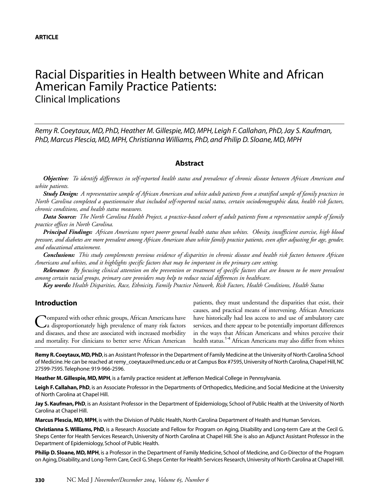# Racial Disparities in Health between White and African American Family Practice Patients: Clinical Implications

*Remy R. Coeytaux, MD, PhD, Heather M. Gillespie, MD, MPH, Leigh F. Callahan, PhD, Jay S. Kaufman, PhD, Marcus Plescia, MD, MPH, Christianna Williams, PhD, and Philip D. Sloane, MD, MPH*

## **Abstract**

*Objective: To identify differences in self-reported health status and prevalence of chronic disease between African American and white patients.*

*Study Design: A representative sample of African American and white adult patients from a stratified sample of family practices in North Carolina completed a questionnaire that included self-reported racial status, certain sociodemographic data, health risk factors, chronic conditions, and health status measures.* 

*Data Source: The North Carolina Health Project, a practice-based cohort of adult patients from a representative sample of family practice offices in North Carolina.*

*Principal Findings: African Americans report poorer general health status than whites. Obesity, insufficient exercise, high blood pressure, and diabetes are more prevalent among African American than white family practice patients, even after adjusting for age, gender, and educational attainment.* 

*Conclusions: This study complements previous evidence of disparities in chronic disease and health risk factors between African Americans and whites, and it highlights specific factors that may be important in the primary care setting.* 

*Relevance: By focusing clinical attention on the prevention or treatment of specific factors that are known to be more prevalent among certain racial groups, primary care providers may help to reduce racial differences in healthcare.*

*Key words: Health Disparities, Race, Ethnicity, Family Practice Network, Risk Factors, Health Conditions, Health Status*

## **Introduction**

**Nompared with other ethnic groups, African Americans have** a disproportionately high prevalence of many risk factors and diseases, and these are associated with increased morbidity and mortality. For clinicians to better serve African American

patients, they must understand the disparities that exist, their causes, and practical means of intervening. African Americans have historically had less access to and use of ambulatory care services, and there appear to be potentially important differences in the ways that African Americans and whites perceive their health status.<sup>1-4</sup> African Americans may also differ from whites

**Remy R.Coeytaux,MD,PhD**,is an Assistant Professor in the Department of Family Medicine at the University of North Carolina School of Medicine.He can be reached at remy\_coeytaux@med.unc.edu or at Campus Box #7595, University of North Carolina, Chapel Hill, NC 27599-7595.Telephone: 919-966-2596.

**Heather M. Gillespie, MD, MPH**, is a family practice resident at Jefferson Medical College in Pennsylvania.

Leigh F. Callahan, PhD, is an Associate Professor in the Departments of Orthopedics, Medicine, and Social Medicine at the University of North Carolina at Chapel Hill.

**Jay S. Kaufman, PhD**, is an Assistant Professor in the Department of Epidemiology, School of Public Health at the University of North Carolina at Chapel Hill.

**Marcus Plescia, MD, MPH**, is with the Division of Public Health, North Carolina Department of Health and Human Services.

**Christianna S. Williams, PhD**, is a Research Associate and Fellow for Program on Aging, Disability and Long-term Care at the Cecil G. Sheps Center for Health Services Research, University of North Carolina at Chapel Hill. She is also an Adjunct Assistant Professor in the Department of Epidemiology, School of Public Health.

**Philip D. Sloane, MD, MPH**, is a Professor in the Department of Family Medicine, School of Medicine, and Co-Director of the Program on Aging, Disability, and Long-Term Care, Cecil G.Sheps Center for Health Services Research, University of North Carolina at Chapel Hill.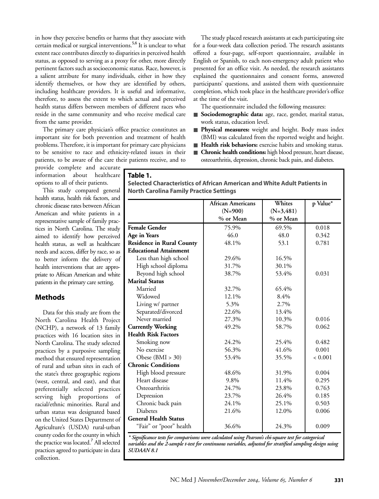in how they perceive benefits or harms that they associate with certain medical or surgical interventions.<sup>5,6</sup> It is unclear to what extent race contributes directly to disparities in perceived health status, as opposed to serving as a proxy for other, more directly pertinent factors such as socioeconomic status. Race, however, is a salient attribute for many individuals, either in how they identify themselves, or how they are identified by others, including healthcare providers. It is useful and informative, therefore, to assess the extent to which actual and perceived health status differs between members of different races who reside in the same community and who receive medical care from the same provider.

The primary care physician's office practice constitutes an important site for both prevention and treatment of health problems. Therefore, it is important for primary care physicians to be sensitive to race and ethnicity-related issues in their patients, to be aware of the care their patients receive, and to

The study placed research assistants at each participating site for a four-week data collection period. The research assistants offered a four-page, self-report questionnaire, available in English or Spanish, to each non-emergency adult patient who presented for an office visit. As needed, the research assistants explained the questionnaires and consent forms, answered participants' questions, and assisted them with questionnaire completion, which took place in the healthcare provider's office at the time of the visit.

The questionnaire included the following measures:

- **Sociodemographic data:** age, race, gender, marital status, work status, education level.
- **Physical measures:** weight and height. Body mass index (BMI) was calculated from the reported weight and height.
- **Health risk behaviors:** exercise habits and smoking status.
- **Chronic health conditions:** high blood pressure, heart disease, osteoarthritis, depression, chronic back pain, and diabetes.

provide complete and accurate information about healthcare options to all of their patients.

This study compared general health status, health risk factors, and chronic disease rates between African American and white patients in a representative sample of family practices in North Carolina. The study aimed to identify how perceived health status, as well as healthcare needs and access, differ by race, so as to better inform the delivery of health interventions that are appropriate to African American and white patients in the primary care setting.

## **Methods**

Data for this study are from the North Carolina Health Project (NCHP), a network of 13 family practices with 16 location sites in North Carolina. The study selected practices by a purposive sampling method that ensured representation of rural and urban sites in each of the state's three geographic regions (west, central, and east), and that preferentially selected practices serving high proportions of racial/ethnic minorities. Rural and urban status was designated based on the United States Department of Agriculture's (USDA) rural-urban county codes for the county in which the practice was located.<sup>7</sup> All selected practices agreed to participate in data collection.

### **Table 1.**

**Selected Characteristics of African American and White Adult Patients in North Carolina Family Practice Settings**

|                                  | African Americans | Whites       | p Value* |
|----------------------------------|-------------------|--------------|----------|
|                                  | $(N=900)$         | $(N=3, 481)$ |          |
|                                  | % or Mean         | % or Mean    |          |
| <b>Female Gender</b>             | 75.9%             | 69.5%        | 0.018    |
| Age in Years                     | 46.0              | 48.0         | 0.342    |
| <b>Residence in Rural County</b> | 48.1%             | 53.1         | 0.781    |
| <b>Educational Attainment</b>    |                   |              |          |
| Less than high school            | 29.6%             | 16.5%        |          |
| High school diploma              | 31.7%             | 30.1%        |          |
| Beyond high school               | 38.7%             | 53.4%        | 0.031    |
| <b>Marital Status</b>            |                   |              |          |
| Married                          | 32.7%             | 65.4%        |          |
| Widowed                          | 12.1%             | 8.4%         |          |
| Living w/ partner                | 5.3%              | 2.7%         |          |
| Separated/divorced               | 22.6%             | 13.4%        |          |
| Never married                    | 27.3%             | 10.3%        | 0.016    |
| <b>Currently Working</b>         | 49.2%             | 58.7%        | 0.062    |
| <b>Health Risk Factors</b>       |                   |              |          |
| Smoking now                      | 24.2%             | 25.4%        | 0.482    |
| No exercise                      | 56.3%             | 41.6%        | 0.001    |
| Obese $(BMI > 30)$               | 53.4%             | 35.5%        | < 0.001  |
| <b>Chronic Conditions</b>        |                   |              |          |
| High blood pressure              | 48.6%             | 31.9%        | 0.004    |
| Heart disease                    | 9.8%              | 11.4%        | 0.295    |
| Osteoarthritis                   | 24.7%             | 23.8%        | 0.763    |
| Depression                       | 23.7%             | 26.4%        | 0.185    |
| Chronic back pain                | 24.1%             | 25.1%        | 0.503    |
| <b>Diabetes</b>                  | 21.6%             | 12.0%        | 0.006    |
| <b>General Health Status</b>     |                   |              |          |
| "Fair" or "poor" health          | 36.6%             | 24.3%        | 0.009    |

*\* Significance tests for comparisons were calculated using Pearson's chi-square test for categorical variables and the 2-sample t-test for continuous variables, adjusted for stratified sampling design using SUDAAN 8.1*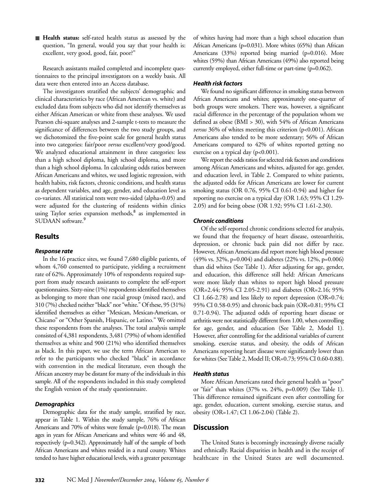■ **Health status:** self-rated health status as assessed by the question, "In general, would you say that your health is: excellent, very good, good, fair, poor?"

Research assistants mailed completed and incomplete questionnaires to the principal investigators on a weekly basis. All data were then entered into an Access database.

The investigators stratified the subjects' demographic and clinical characteristics by race (African American vs. white) and excluded data from subjects who did not identify themselves as either African American or white from these analyses. We used Pearson chi-square analyses and 2-sample t-tests to measure the significance of differences between the two study groups, and we dichotomized the five-point scale for general health status into two categories: fair/poor *versus* excellent/very good/good. We analyzed educational attainment in three categories: less than a high school diploma, high school diploma, and more than a high school diploma. In calculating odds ratios between African Americans and whites, we used logistic regression, with health habits, risk factors, chronic conditions, and health status as dependent variables, and age, gender, and education level as co-variates. All statistical tests were two-sided (alpha=0.05) and were adjusted for the clustering of residents within clinics using Taylor series expansion methods,<sup>8</sup> as implemented in SUDAAN software.<sup>9</sup>

## **Results**

#### *Response rate*

In the 16 practice sites, we found 7,680 eligible patients, of whom 4,760 consented to participate, yielding a recruitment rate of 62%. Approximately 10% of respondents required support from study research assistants to complete the self-report questionnaires. Sixty-nine (1%) respondents identified themselves as belonging to more than one racial group (mixed race), and 310 (7%) checked neither "black" nor "white." Of these, 95 (31%) identified themselves as either "Mexican, Mexican-American, or Chicano" or "Other Spanish, Hispanic, or Latino." We omitted these respondents from the analyses. The total analysis sample consisted of 4,381 respondents, 3,481 (79%) of whom identified themselves as white and 900 (21%) who identified themselves as black. In this paper, we use the term African American to refer to the participants who checked "black" in accordance with convention in the medical literature, even though the African ancestry may be distant for many of the individuals in this sample. All of the respondents included in this study completed the English version of the study questionnaire.

#### *Demographics*

Demographic data for the study sample, stratified by race, appear in Table 1. Within the study sample, 76% of African Americans and 70% of whites were female (p=0.018). The mean ages in years for African Americans and whites were 46 and 48, respectively (p=0.342). Approximately half of the sample of both African Americans and whites resided in a rural county. Whites tended to have higher educational levels, with a greater percentage of whites having had more than a high school education than African Americans (p=0.031). More whites (65%) than African Americans (33%) reported being married (p=0.016). More whites (59%) than African Americans (49%) also reported being currently employed, either full-time or part-time (p=0.062).

#### *Health risk factors*

We found no significant difference in smoking status between African Americans and whites; approximately one-quarter of both groups were smokers. There was, however, a significant racial difference in the percentage of the population whom we defined as obese (BMI > 30), with 54% of African Americans *versus* 36% of whites meeting this criterion (p<0.001). African Americans also tended to be more sedentary; 56% of African Americans compared to 42% of whites reported getting no exercise on a typical day  $(p<0.001)$ .

We report the odds ratios for selected risk factors and conditions among African Americans and whites, adjusted for age, gender, and education level, in Table 2. Compared to white patients, the adjusted odds for African Americans are lower for current smoking status (OR 0.76, 95% CI 0.61-0.94) and higher for reporting no exercise on a typical day (OR 1.63; 95% CI 1.29- 2.05) and for being obese (OR 1.92; 95% CI 1.61-2.30).

#### *Chronic conditions*

Of the self-reported chronic conditions selected for analysis, we found that the frequency of heart disease, osteoarthritis, depression, or chronic back pain did not differ by race. However, African Americans did report more high blood pressure (49% vs. 32%, p=0.004) and diabetes (22% vs. 12%, p=0.006) than did whites (See Table 1). After adjusting for age, gender, and education, this difference still held: African Americans were more likely than whites to report high blood pressure (OR=2.44; 95% CI 2.05-2.91) and diabetes (OR=2.16; 95% CI 1.66-2.78) and less likely to report depression (OR=0.74; 95% CI 0.58-0.95) and chronic back pain (OR=0.81; 95% CI 0.71-0.94). The adjusted odds of reporting heart disease or arthritis were not statistically different from 1.00, when controlling for age, gender, and education (See Table 2, Model 1). However, after controlling for the additional variables of current smoking, exercise status, and obesity, the odds of African Americans reporting heart disease were significantly lower than for whites (See Table 2, Model II; OR=0.73; 95% CI 0.60-0.88).

#### *Health status*

More African Americans rated their general health as "poor" or "fair" than whites (37% vs. 24%, p=0.009) (See Table 1). This difference remained significant even after controlling for age, gender, education, current smoking, exercise status, and obesity (OR=1.47; CI 1.06-2.04) (Table 2).

## **Discussion**

The United States is becomingly increasingly diverse racially and ethnically. Racial disparities in health and in the receipt of healthcare in the United States are well documented.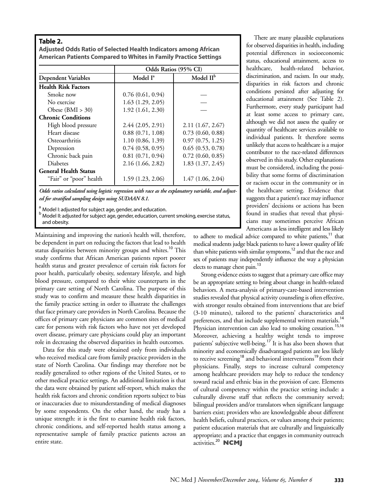## **Table 2.**

**Adjusted Odds Ratio of Selected Health Indicators among African American Patients Compared to Whites in Family Practice Settings**

|                              | Odds Ratios (95% CI) |                       |  |
|------------------------------|----------------------|-----------------------|--|
| <b>Dependent Variables</b>   | Model I <sup>a</sup> | Model II <sup>b</sup> |  |
| <b>Health Risk Factors</b>   |                      |                       |  |
| Smoke now                    | 0.76(0.61, 0.94)     |                       |  |
| No exercise                  | 1.63(1.29, 2.05)     |                       |  |
| Obese $(BMI > 30)$           | 1.92(1.61, 2.30)     |                       |  |
| <b>Chronic Conditions</b>    |                      |                       |  |
| High blood pressure          | 2.44(2.05, 2.91)     | 2.11(1.67, 2.67)      |  |
| Heart disease                | 0.88(0.71, 1.08)     | 0.73(0.60, 0.88)      |  |
| Osteoarthritis               | 1.10(0.86, 1.39)     | 0.97(0.75, 1.25)      |  |
| Depression                   | 0.74(0.58, 0.95)     | 0.65(0.53, 0.78)      |  |
| Chronic back pain            | 0.81(0.71, 0.94)     | 0.72(0.60, 0.85)      |  |
| <b>Diabetes</b>              | 2.16 (1.66, 2.82)    | 1.83(1.37, 2.45)      |  |
| <b>General Health Status</b> |                      |                       |  |
| "Fair" or "poor" health      | 1.59 (1.23, 2.06)    | 1.47(1.06, 2.04)      |  |

*Odds ratios calculated using logistic regression with race as the explanatory variable, and adjusted for stratified sampling design using SUDAAN 8.1.*

<sup>a</sup> Model I: adjusted for subject age, gender, and education.<br><sup>b</sup> Model II: adjusted for subject age, gender, education, current smoking, exercise status, and obesity.

Maintaining and improving the nation's health will, therefore, be dependent in part on reducing the factors that lead to health status disparities between minority groups and whites.<sup>10</sup> This study confirms that African American patients report poorer health status and greater prevalence of certain risk factors for poor health, particularly obesity, sedentary lifestyle, and high blood pressure, compared to their white counterparts in the primary care setting of North Carolina. The purpose of this study was to confirm and measure these health disparities in the family practice setting in order to illustrate the challenges that face primary care providers in North Carolina. Because the offices of primary care physicians are common sites of medical care for persons with risk factors who have not yet developed overt disease, primary care physicians could play an important role in decreasing the observed disparities in health outcomes.

Data for this study were obtained only from individuals who received medical care from family practice providers in the state of North Carolina. Our findings may therefore not be readily generalized to other regions of the United States, or to other medical practice settings. An additional limitation is that the data were obtained by patient self-report, which makes the health risk factors and chronic condition reports subject to bias or inaccuracies due to misunderstanding of medical diagnoses by some respondents. On the other hand, the study has a unique strength: it is the first to examine health risk factors, chronic conditions, and self-reported health status among a representative sample of family practice patients across an entire state.

There are many plausible explanations for observed disparities in health, including potential differences in socioeconomic status, educational attainment, access to healthcare, health-related behavior, discrimination, and racism. In our study, disparities in risk factors and chronic conditions persisted after adjusting for educational attainment (See Table 2). Furthermore, every study participant had at least some access to primary care, although we did not assess the quality or quantity of healthcare services available to individual patients. It therefore seems unlikely that access to healthcare is a major contributor to the race-related differences observed in this study. Other explanations must be considered, including the possibility that some forms of discrimination or racism occur in the community or in the healthcare setting. Evidence that suggests that a patient's race may influence providers' decisions or actions has been found in studies that reveal that physicians may sometimes perceive African Americans as less intelligent and less likely

to adhere to medical advice compared to white patients,<sup>11</sup> that medical students judge black patients to have a lower quality of life than white patients with similar symptoms, $12$  and that the race and sex of patients may independently influence the way a physician elects to manage chest pain.<sup>13</sup>

Strong evidence exists to suggest that a primary care office may be an appropriate setting to bring about change in health-related behaviors. A meta-analysis of primary-care-based intervention studies revealed that physical activity counseling is often effective, with stronger results obtained from interventions that are brief (3-10 minutes), tailored to the patients' characteristics and preferences, and that include supplemental written materials.<sup>14</sup> Physician intervention can also lead to smoking cessation.<sup>15,16</sup> Moreover, achieving a healthy weight tends to improve patients' subjective well-being.<sup>17</sup> It is has also been shown that minority and economically disadvantaged patients are less likely to receive screening<sup>18</sup> and behavioral interventions<sup>19</sup> from their physicians. Finally, steps to increase cultural competency among healthcare providers may help to reduce the tendency toward racial and ethnic bias in the provision of care. Elements of cultural competency within the practice setting include: a culturally diverse staff that reflects the community served; bilingual providers and/or translators when significant language barriers exist; providers who are knowledgeable about different health beliefs, cultural practices, or values among their patients; patient education materials that are culturally and linguistically appropriate; and a practice that engages in community outreach activities.<sup>20</sup> **NCMJ**